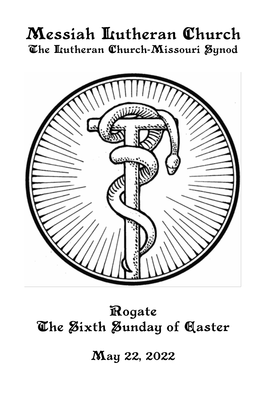# Messiah Lutheran Church The Itutheran Church-Missouri Synod



# Rogate The Sixth Sunday of Caster

May 22, 2022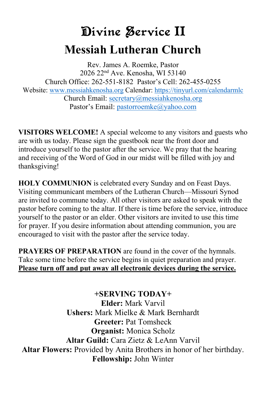# Divine Service II **Messiah Lutheran Church**

Rev. James A. Roemke, Pastor 2026 22nd Ave. Kenosha, WI 53140 Church Office: 262-551-8182 Pastor's Cell: 262-455-0255 Website: [www.messiahkenosha.org](http://www.messiahkenosha.org/) Calendar: <https://tinyurl.com/calendarmlc> Church Email: [secretary@messiahkenosha.org](https://d.docs.live.net/fdeed90a8019e9e6/Documents/2019%20PDF%20Bulletins/secretary@messiahkenosha.org) Pastor's Email: [pastorroemke@yahoo.com](mailto:pastorroemke@yahoo.com)

**VISITORS WELCOME!** A special welcome to any visitors and guests who are with us today. Please sign the guestbook near the front door and introduce yourself to the pastor after the service. We pray that the hearing and receiving of the Word of God in our midst will be filled with joy and thanksgiving!

**HOLY COMMUNION** is celebrated every Sunday and on Feast Days. Visiting communicant members of the Lutheran Church—Missouri Synod are invited to commune today. All other visitors are asked to speak with the pastor before coming to the altar. If there is time before the service, introduce yourself to the pastor or an elder. Other visitors are invited to use this time for prayer. If you desire information about attending communion, you are encouraged to visit with the pastor after the service today.

**PRAYERS OF PREPARATION** are found in the cover of the hymnals. Take some time before the service begins in quiet preparation and prayer. **Please turn off and put away all electronic devices during the service.**

**+SERVING TODAY+ Elder:** Mark Varvil **Ushers:** Mark Mielke & Mark Bernhardt **Greeter:** Pat Tomsheck **Organist:** Monica Scholz **Altar Guild:** Cara Zietz & LeAnn Varvil **Altar Flowers:** Provided by Anita Brothers in honor of her birthday. **Fellowship:** John Winter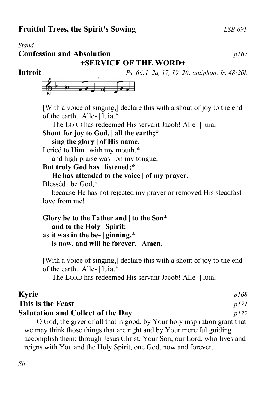#### *Stand* **Confession and Absolution** *p167*

**+SERVICE OF THE WORD+**

**Introit** *Ps. 66:1–2a, 17, 19–20; antiphon: Is. 48:20b*



[With a voice of singing,] declare this with a shout of joy to the end of the earth. Alle- | luia.\*

The LORD has redeemed His servant Jacob! Alle- | luia.

## **Shout for joy to God, | all the earth;\***

 **sing the glory | of His name.**

I cried to Him | with my mouth,\*

and high praise was | on my tongue.

## **But truly God has | listened;\***

### **He has attended to the voice | of my prayer.**

Blessèd | be God,\*

because He has not rejected my prayer or removed His steadfast | love from me!

**Glory be to the Father and** | **to the Son**\*  **and to the Holy** | **Spirit; as it was in the be-** | **ginning,**\*  **is now, and will be forever.** | **Amen.**

[With a voice of singing,] declare this with a shout of joy to the end of the earth. Alle- | luia.\*

The LORD has redeemed His servant Jacob! Alle- | luia.

| <b>Kyrie</b>                                                              | p168 |
|---------------------------------------------------------------------------|------|
| This is the Feast                                                         | p171 |
| <b>Salutation and Collect of the Day</b>                                  | p172 |
| O God, the giver of all that is good, by Your holy inspiration grant that |      |
| we may think those things that are right and by Your merciful guiding     |      |
| accomplish them; through Jesus Christ, Your Son, our Lord, who lives and  |      |
| reigns with You and the Holy Spirit, one God, now and forever.            |      |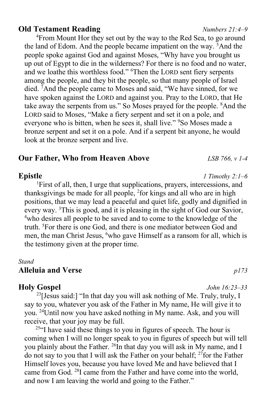### **Old Testament Reading** *Numbers 21:4–9*

<sup>4</sup>From Mount Hor they set out by the way to the Red Sea, to go around the land of Edom. And the people became impatient on the way. <sup>5</sup>And the people spoke against God and against Moses, "Why have you brought us up out of Egypt to die in the wilderness? For there is no food and no water, and we loathe this worthless food." <sup>6</sup>Then the LORD sent fiery serpents among the people, and they bit the people, so that many people of Israel died. <sup>7</sup>And the people came to Moses and said, "We have sinned, for we have spoken against the LORD and against you. Pray to the LORD, that He take away the serpents from us." So Moses prayed for the people. <sup>8</sup>And the LORD said to Moses, "Make a fiery serpent and set it on a pole, and everyone who is bitten, when he sees it, shall live." <sup>9</sup>So Moses made a bronze serpent and set it on a pole. And if a serpent bit anyone, he would look at the bronze serpent and live.

### **Our Father, Who from Heaven Above** *LSB 766, v 1-4*

#### **Epistle** *1 Timothy 2:1–6*

<sup>1</sup>First of all, then, I urge that supplications, prayers, intercessions, and thanksgivings be made for all people, <sup>2</sup>for kings and all who are in high positions, that we may lead a peaceful and quiet life, godly and dignified in every way. <sup>3</sup>This is good, and it is pleasing in the sight of God our Savior, <sup>4</sup>who desires all people to be saved and to come to the knowledge of the truth. <sup>5</sup>For there is one God, and there is one mediator between God and men, the man Christ Jesus, <sup>6</sup>who gave Himself as a ransom for all, which is the testimony given at the proper time.

#### *Stand*

#### **Alleluia and Verse** *p173*

#### **Holy Gospel** *John 16:23–33*

<sup>23</sup>[Jesus said:] "In that day you will ask nothing of Me. Truly, truly, I say to you, whatever you ask of the Father in My name, He will give it to you. <sup>24</sup>Until now you have asked nothing in My name. Ask, and you will receive, that your joy may be full.

<sup>25"</sup>I have said these things to you in figures of speech. The hour is coming when I will no longer speak to you in figures of speech but will tell you plainly about the Father.  $^{26}$ In that day you will ask in My name, and I do not say to you that I will ask the Father on your behalf;  $^{27}$  for the Father Himself loves you, because you have loved Me and have believed that I came from God. <sup>28</sup>I came from the Father and have come into the world, and now I am leaving the world and going to the Father."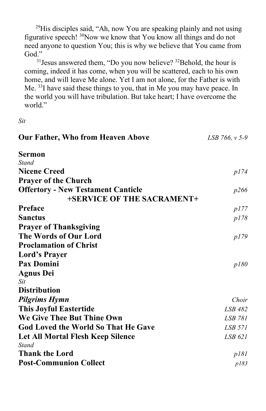$29$ His disciples said, "Ah, now You are speaking plainly and not using figurative speech! <sup>30</sup>Now we know that You know all things and do not need anyone to question You; this is why we believe that You came from God."

 $31$  Jesus answered them, "Do you now believe?  $32$  Behold, the hour is coming, indeed it has come, when you will be scattered, each to his own home, and will leave Me alone. Yet I am not alone, for the Father is with Me. <sup>33</sup>I have said these things to you, that in Me you may have peace. In the world you will have tribulation. But take heart; I have overcome the world."

*Sit*

| <b>Our Father, Who from Heaven Above</b>   | LSB 766, v 5-9 |
|--------------------------------------------|----------------|
| Sermon                                     |                |
| <b>Stand</b>                               |                |
| <b>Nicene Creed</b>                        | p174           |
| <b>Prayer of the Church</b>                |                |
| <b>Offertory - New Testament Canticle</b>  | p266           |
| +SERVICE OF THE SACRAMENT+                 |                |
| Preface                                    | p177           |
| <b>Sanctus</b>                             | p178           |
| <b>Prayer of Thanksgiving</b>              |                |
| The Words of Our Lord                      | p179           |
| <b>Proclamation of Christ</b>              |                |
| <b>Lord's Prayer</b>                       |                |
| <b>Pax Domini</b>                          | p180           |
| <b>Agnus Dei</b>                           |                |
| <b>Sit</b>                                 |                |
| <b>Distribution</b>                        |                |
| <b>Pilgrims Hymn</b>                       | Choir          |
| <b>This Joyful Eastertide</b>              | <b>LSB 482</b> |
| We Give Thee But Thine Own                 | LSB 781        |
| <b>God Loved the World So That He Gave</b> | LSB 571        |
| Let All Mortal Flesh Keep Silence          | LSB 621        |
| Stand                                      |                |
| <b>Thank the Lord</b>                      | p181           |
| <b>Post-Communion Collect</b>              | p183           |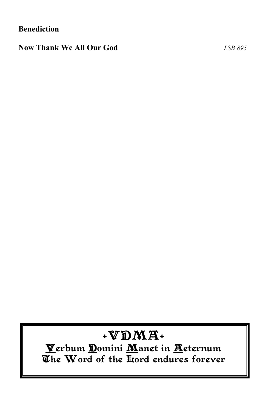**Benediction**

**Now Thank We All Our God** *LSB 895*

# $+VDMA+$

Verbum Domini Manet in Aeternum The Word of the Hord endures forever